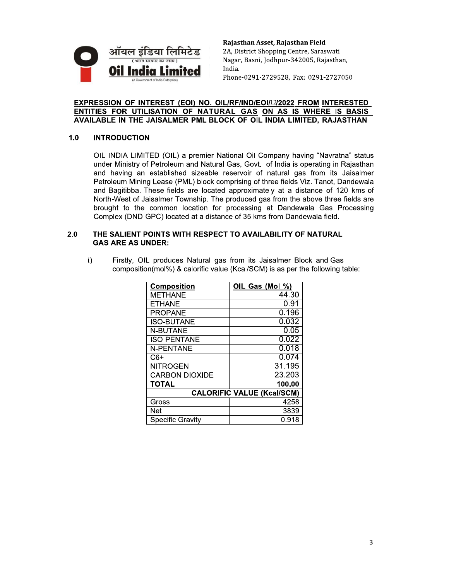

Rajasthan Asset, Rajasthan Field 2A, District Shopping Centre, Saraswati Nagar, Basni, Jodhpur-342005, Rajasthan, India. Phone-0291-2729528, Fax: 0291-2727050

# EXPRESSION OF INTEREST (EOI) NO. OIL/RF/IND/EOI/12/2022 FROM INTERESTED ENTITIES FOR UTILISATION OF NATURAL GAS ON AS IS WHERE IS BASIS AVAILABLE IN THE JAISALMER PML BLOCK OF OIL INDIA LIMITED, RAJASTHAN

## $1.0$ **INTRODUCTION**

OIL INDIA LIMITED (OIL) a premier National Oil Company having "Navratna" status under Ministry of Petroleum and Natural Gas, Govt. of India is operating in Rajasthan and having an established sizeable reservoir of natural gas from its Jaisalmer Petroleum Mining Lease (PML) block comprising of three fields Viz. Tanot, Dandewala and Bagitibba. These fields are located approximately at a distance of 120 kms of North-West of Jaisalmer Township. The produced gas from the above three fields are brought to the common location for processing at Dandewala Gas Processing Complex (DND-GPC) located at a distance of 35 kms from Dandewala field.

# THE SALIENT POINTS WITH RESPECT TO AVAILABILITY OF NATURAL  $2.0$ **GAS ARE AS UNDER:**

Firstly, OIL produces Natural gas from its Jaisalmer Block and Gas  $i)$ composition(mol%) & calorific value (Kcal/SCM) is as per the following table:

| Composition                       | OIL Gas (Mol %) |
|-----------------------------------|-----------------|
| <b>METHANE</b>                    | 44.30           |
| <b>ETHANE</b>                     | 0.91            |
| <b>PROPANE</b>                    | 0.196           |
| ISO-BUTANE                        | 0.032           |
| <b>N-BUTANE</b>                   | 0.05            |
| <b>ISO-PENTANE</b>                | 0.022           |
| <b>N-PENTANE</b>                  | 0.018           |
| C6+                               | 0.074           |
| <b>NITROGEN</b>                   | 31.195          |
| <b>CARBON DIOXIDE</b>             | 23.203          |
| <b>TOTAL</b>                      | 100.00          |
| <b>CALORIFIC VALUE (Kcal/SCM)</b> |                 |
| Gross                             | 4258            |
| <b>Net</b>                        | 3839            |
| <b>Specific Gravity</b>           | 0.918           |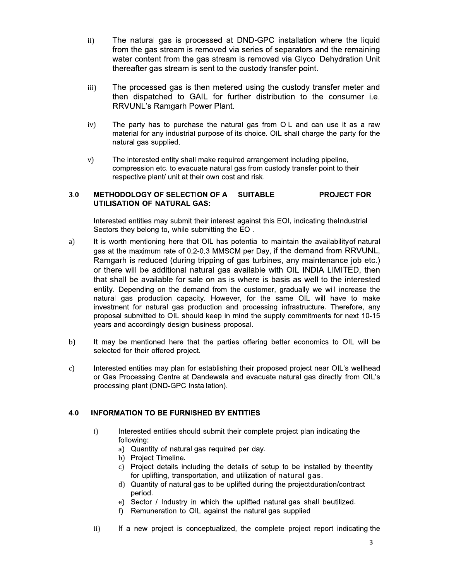- $\overline{ii}$ The natural gas is processed at DND-GPC installation where the liquid from the gas stream is removed via series of separators and the remaining water content from the gas stream is removed via Glycol Dehydration Unit thereafter gas stream is sent to the custody transfer point.
- iii) The processed gas is then metered using the custody transfer meter and then dispatched to GAIL for further distribution to the consumer i.e. **RRVUNL's Ramgarh Power Plant.**
- $iv)$ The party has to purchase the natural gas from OIL and can use it as a raw material for any industrial purpose of its choice. OIL shall charge the party for the natural gas supplied.
- The interested entity shall make required arrangement including pipeline,  $V)$ compression etc. to evacuate natural gas from custody transfer point to their respective plant/ unit at their own cost and risk.

#### METHODOLOGY OF SELECTION OF A 3.0 **SUITABLE PROJECT FOR UTILISATION OF NATURAL GAS:**

Interested entities may submit their interest against this EOI, indicating the Industrial Sectors they belong to, while submitting the EOI.

- a) It is worth mentioning here that OIL has potential to maintain the availability of natural gas at the maximum rate of 0.2-0.3 MMSCM per Day, if the demand from RRVUNL, Ramgarh is reduced (during tripping of gas turbines, any maintenance job etc.) or there will be additional natural gas available with OIL INDIA LIMITED, then that shall be available for sale on as is where is basis as well to the interested entity. Depending on the demand from the customer, gradually we will increase the natural gas production capacity. However, for the same OIL will have to make investment for natural gas production and processing infrastructure. Therefore, any proposal submitted to OIL should keep in mind the supply commitments for next 10-15 years and accordingly design business proposal.
- $b)$ It may be mentioned here that the parties offering better economics to OIL will be selected for their offered project.
- Interested entities may plan for establishing their proposed project near OIL's wellhead  $\mathbf{c}$ or Gas Processing Centre at Dandewala and evacuate natural gas directly from OIL's processing plant (DND-GPC Installation).

## 4.0 **INFORMATION TO BE FURNISHED BY ENTITIES**

- Interested entities should submit their complete project plan indicating the i) following:
	- a) Quantity of natural gas required per day.
	- b) Project Timeline.
	- c) Project details including the details of setup to be installed by theentity for uplifting, transportation, and utilization of natural gas.
	- d) Quantity of natural gas to be uplifted during the projectduration/contract period.
	- e) Sector / Industry in which the uplifted natural gas shall beutilized.
	- f) Remuneration to OIL against the natural gas supplied.
- $ii)$ If a new project is conceptualized, the complete project report indicating the